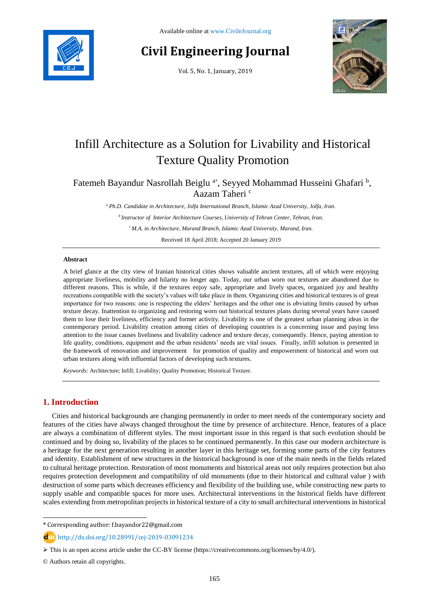

# **Civil Engineering Journal**

Vol. 5, No. 1, January, 2019



# Infill Architecture as a Solution for Livability and Historical Texture Quality Promotion

Fatemeh Bayandur Nasrollah Beiglu<sup>a\*</sup>, Seyyed Mohammad Husseini Ghafari<sup>b</sup>, Aazam Taheri <sup>c</sup>

*<sup>a</sup> Ph.D. Candidate in Architecture, Jolfa International Branch, Islamic Azad University, Jolfa, Iran.*

*<sup>b</sup>Instructor of Interior Architecture Courses, University of Tehran Center, Tehran, Iran.*

*<sup>c</sup>M.A. in Architecture, Marand Branch, Islamic Azad University, Marand, Iran.*

Received 18 April 2018; Accepted 20 January 2019

### **Abstract**

A brief glance at the city view of Iranian historical cities shows valuable ancient textures, all of which were enjoying appropriate liveliness, mobility and hilarity no longer ago. Today, our urban worn out textures are abandoned due to different reasons. This is while, if the textures enjoy safe, appropriate and lively spaces, organized joy and healthy recreations compatible with the society's values will take place in them. Organizing cities and historical textures is of great importance for two reasons: one is respecting the elders' heritages and the other one is obviating limits caused by urban texture decay. Inattention to organizing and restoring worn out historical textures plans during several years have caused them to lose their liveliness, efficiency and former activity. Livability is one of the greatest urban planning ideas in the contemporary period. Livability creation among cities of developing countries is a concerning issue and paying less attention to the issue causes liveliness and livability cadence and texture decay, consequently. Hence, paying attention to life quality, conditions, equipment and the urban residents' needs are vital issues. Finally, infill solution is presented in the framework of renovation and improvement for promotion of quality and empowerment of historical and worn out urban textures along with influential factors of developing such textures.

*Keywords:* Architecture; Infill; Livability; Quality Promotion; Historical Texture.

# **1. Introduction**

l

Cities and historical backgrounds are changing permanently in order to meet needs of the contemporary society and features of the cities have always changed throughout the time by presence of architecture. Hence, features of a place are always a combination of different styles. The most important issue in this regard is that such evolution should be continued and by doing so, livability of the places to be continued permanently. In this case our modern architecture is a heritage for the next generation resulting in another layer in this heritage set, forming some parts of the city features and identity. Establishment of new structures in the historical background is one of the main needs in the fields related to cultural heritage protection. Restoration of most monuments and historical areas not only requires protection but also requires protection development and compatibility of old monuments (due to their historical and cultural value ) with destruction of some parts which decreases efficiency and flexibility of the building use, while constructing new parts to supply usable and compatible spaces for more uses. Architectural interventions in the historical fields have different scales extending from metropolitan projects in historical texture of a city to small architectural interventions in historical

<sup>\*</sup> Corresponding author: f.bayandor22@gmail.com

http://dx.doi.org/10.28991/cej-2019-03091234

This is an open access article under the CC-BY license [\(https://creativecommons.org/licenses/by/4.0/\)](https://creativecommons.org/licenses/by/4.0/).

<sup>©</sup> Authors retain all copyrights.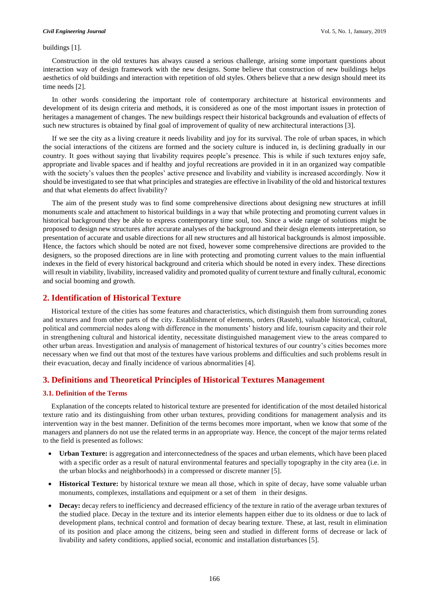#### buildings [1].

Construction in the old textures has always caused a serious challenge, arising some important questions about interaction way of design framework with the new designs. Some believe that construction of new buildings helps aesthetics of old buildings and interaction with repetition of old styles. Others believe that a new design should meet its time needs [2].

In other words considering the important role of contemporary architecture at historical environments and development of its design criteria and methods, it is considered as one of the most important issues in protection of heritages a management of changes. The new buildings respect their historical backgrounds and evaluation of effects of such new structures is obtained by final goal of improvement of quality of new architectural interactions [3].

If we see the city as a living creature it needs livability and joy for its survival. The role of urban spaces, in which the social interactions of the citizens are formed and the society culture is induced in, is declining gradually in our country. It goes without saying that livability requires people's presence. This is while if such textures enjoy safe, appropriate and livable spaces and if healthy and joyful recreations are provided in it in an organized way compatible with the society's values then the peoples' active presence and livability and viability is increased accordingly. Now it should be investigated to see that what principles and strategies are effective in livability of the old and historical textures and that what elements do affect livability?

The aim of the present study was to find some comprehensive directions about designing new structures at infill monuments scale and attachment to historical buildings in a way that while protecting and promoting current values in historical background they be able to express contemporary time soul, too. Since a wide range of solutions might be proposed to design new structures after accurate analyses of the background and their design elements interpretation, so presentation of accurate and usable directions for all new structures and all historical backgrounds is almost impossible. Hence, the factors which should be noted are not fixed, however some comprehensive directions are provided to the designers, so the proposed directions are in line with protecting and promoting current values to the main influential indexes in the field of every historical background and criteria which should be noted in every index. These directions will result in viability, livability, increased validity and promoted quality of current texture and finally cultural, economic and social booming and growth.

# **2. Identification of Historical Texture**

Historical texture of the cities has some features and characteristics, which distinguish them from surrounding zones and textures and from other parts of the city. Establishment of elements, orders (Rasteh), valuable historical, cultural, political and commercial nodes along with difference in the monuments' history and life, tourism capacity and their role in strengthening cultural and historical identity, necessitate distinguished management view to the areas compared to other urban areas. Investigation and analysis of management of historical textures of our country's cities becomes more necessary when we find out that most of the textures have various problems and difficulties and such problems result in their evacuation, decay and finally incidence of various abnormalities [4].

# **3. Definitions and Theoretical Principles of Historical Textures Management**

#### **3.1. Definition of the Terms**

Explanation of the concepts related to historical texture are presented for identification of the most detailed historical texture ratio and its distinguishing from other urban textures, providing conditions for management analysis and its intervention way in the best manner. Definition of the terms becomes more important, when we know that some of the managers and planners do not use the related terms in an appropriate way. Hence, the concept of the major terms related to the field is presented as follows:

- **Urban Texture:** is aggregation and interconnectedness of the spaces and urban elements, which have been placed with a specific order as a result of natural environmental features and specially topography in the city area (i.e. in the urban blocks and neighborhoods) in a compressed or discrete manner [5].
- **Historical Texture:** by historical texture we mean all those, which in spite of decay, have some valuable urban monuments, complexes, installations and equipment or a set of them in their designs.
- **Decay:** decay refers to inefficiency and decreased efficiency of the texture in ratio of the average urban textures of the studied place. Decay in the texture and its interior elements happen either due to its oldness or due to lack of development plans, technical control and formation of decay bearing texture. These, at last, result in elimination of its position and place among the citizens, being seen and studied in different forms of decrease or lack of livability and safety conditions, applied social, economic and installation disturbances [5].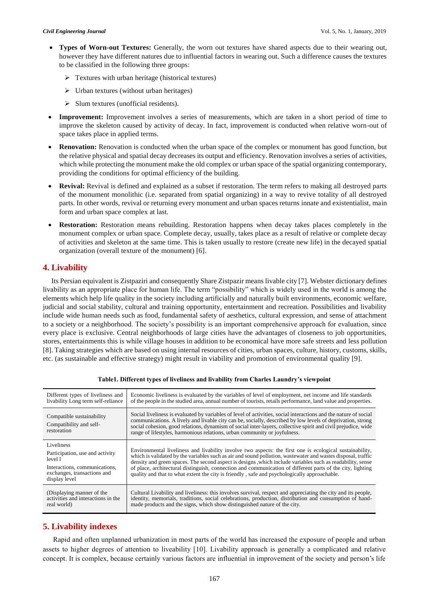- **Types of Worn-out Textures:** Generally, the worn out textures have shared aspects due to their wearing out, however they have different natures due to influential factors in wearing out. Such a difference causes the textures to be classified in the following three groups:
	- $\triangleright$  Textures with urban heritage (historical textures)
	- $\triangleright$  Urban textures (without urban heritages)
	- $\triangleright$  Slum textures (unofficial residents).
- **Improvement:** Improvement involves a series of measurements, which are taken in a short period of time to improve the skeleton caused by activity of decay. In fact, improvement is conducted when relative worn-out of space takes place in applied terms.
- **Renovation:** Renovation is conducted when the urban space of the complex or monument has good function, but the relative physical and spatial decay decreases its output and efficiency. Renovation involves a series of activities, which while protecting the monument make the old complex or urban space of the spatial organizing contemporary, providing the conditions for optimal efficiency of the building.
- **Revival:** Revival is defined and explained as a subset if restoration. The term refers to making all destroyed parts of the monument monolithic (i.e. separated from spatial organizing) in a way to revive totality of all destroyed parts. In other words, revival or returning every monument and urban spaces returns innate and existentialist, main form and urban space complex at last.
- **Restoration:** Restoration means rebuilding. Restoration happens when decay takes places completely in the monument complex or urban space. Complete decay, usually, takes place as a result of relative or complete decay of activities and skeleton at the same time. This is taken usually to restore (create new life) in the decayed spatial organization (overall texture of the monument) [6].

# **4. Livability**

Its Persian equivalent is Zistpaziri and consequently Share Zistpazir means livable city [7]. Webster dictionary defines livability as an appropriate place for human life. The term "possibility" which is widely used in the world is among the elements which help life quality in the society including artificially and naturally built environments, economic welfare, judicial and social stability, cultural and training opportunity, entertainment and recreation. Possibilities and livability include wide human needs such as food, fundamental safety of aesthetics, cultural expression, and sense of attachment to a society or a neighborhood. The society's possibility is an important comprehensive approach for evaluation, since every place is exclusive. Central neighborhoods of large cities have the advantages of closeness to job opportunities, stores, entertainments this is while village houses in addition to be economical have more safe streets and less pollution [8]. Taking strategies which are based on using internal resources of cities, urban spaces, culture, history, customs, skills, etc. (as sustainable and effective strategy) might result in viability and promotion of environmental quality [9].

| Different types of liveliness and<br>livability Long term self-reliance                                                                   | Economic liveliness is evaluated by the variables of level of employment, net income and life standards<br>of the people in the studied area, annual number of tourists, retails performance, land value and properties.                                                                                                                                                                                                                                                                                                                                |
|-------------------------------------------------------------------------------------------------------------------------------------------|---------------------------------------------------------------------------------------------------------------------------------------------------------------------------------------------------------------------------------------------------------------------------------------------------------------------------------------------------------------------------------------------------------------------------------------------------------------------------------------------------------------------------------------------------------|
| Compatible sustainability<br>Compatibility and self-<br>restoration                                                                       | Social liveliness is evaluated by variables of level of activities, social interactions and the nature of social<br>communications. A lively and livable city can be, socially, described by low levels of deprivation, strong<br>social cohesion, good relations, dynamism of social inter-layers, collective spirit and civil prejudice, wide<br>range of lifestyles, harmonious relations, urban community or joyfulness.                                                                                                                            |
| Liveliness<br>Participation, use and activity<br>level 1<br>Interactions, communications,<br>exchanges, transactions and<br>display level | Environmental liveliness and livability involve two aspects: the first one is ecological sustainability,<br>which is validated by the variables such as air and sound pollution, was tewater and was tes disposal, traffic<br>density and green spaces. The second aspect is designs , which include variables such as readability, sense<br>of place, architectural distinguish, connection and communication of different parts of the city, lighting<br>quality and that to what extent the city is friendly, safe and psychologically approachable. |
| (Displaying manner of the<br>activities and interactions in the<br>real world)                                                            | Cultural Livability and liveliness: this involves survival, respect and appreciating the city and its people,<br>identity, memorials, traditions, social celebrations, production, distribution and consumption of hand-<br>made products and the signs, which show distinguished nature of the city.                                                                                                                                                                                                                                                   |

**Table1. Different types of liveliness and livability from Charles Laundry's viewpoint**

# **5. Livability indexes**

Rapid and often unplanned urbanization in most parts of the world has increased the exposure of people and urban assets to higher degrees of attention to liveability [10]. Livability approach is generally a complicated and relative concept. It is complex, because certainly various factors are influential in improvement of the society and person's life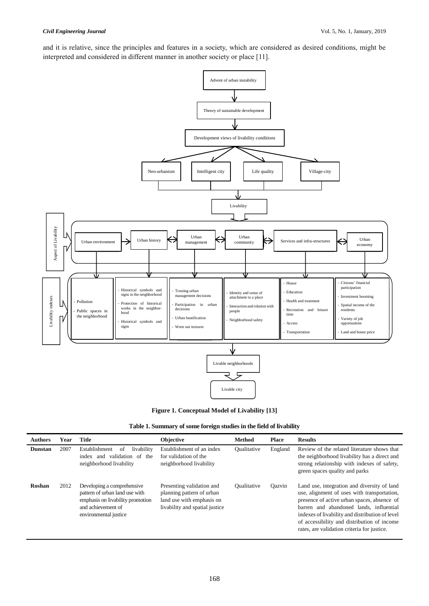and it is relative, since the principles and features in a society, which are considered as desired conditions, might be interpreted and considered in different manner in another society or place [11].



**Figure 1. Conceptual Model of Livability [13]**

| Table 1. Summary of some foreign studies in the field of livability |  |  |  |
|---------------------------------------------------------------------|--|--|--|
|                                                                     |  |  |  |

| <b>Authors</b> | Year | <b>Title</b>                                                                                                                                    | <b>Objective</b>                                                                                                      | <b>Method</b>      | <b>Place</b> | <b>Results</b>                                                                                                                                                                                                                                                                                                                        |
|----------------|------|-------------------------------------------------------------------------------------------------------------------------------------------------|-----------------------------------------------------------------------------------------------------------------------|--------------------|--------------|---------------------------------------------------------------------------------------------------------------------------------------------------------------------------------------------------------------------------------------------------------------------------------------------------------------------------------------|
| <b>Dunstan</b> | 2007 | Establishment<br>livability<br>οf<br>validation of<br>index and<br>the<br>neighborhood livability                                               | Establishment of an index<br>for validation of the<br>neighborhood livability                                         | <b>Qualitative</b> | England      | Review of the related literature shows that<br>the neighborhood livability has a direct and<br>strong relationship with indexes of safety,<br>green spaces quality and parks                                                                                                                                                          |
| Roshan         | 2012 | Developing a comprehensive<br>pattern of urban land use with<br>emphasis on livability promotion<br>and achievement of<br>environmental justice | Presenting validation and<br>planning pattern of urban<br>land use with emphasis on<br>livability and spatial justice | Oualitative        | Oazvin       | Land use, integration and diversity of land<br>use, alignment of uses with transportation,<br>presence of active urban spaces, absence of<br>barren and abandoned lands, influential<br>indexes of livability and distribution of level<br>of accessibility and distribution of income<br>rates, are validation criteria for justice. |

# 168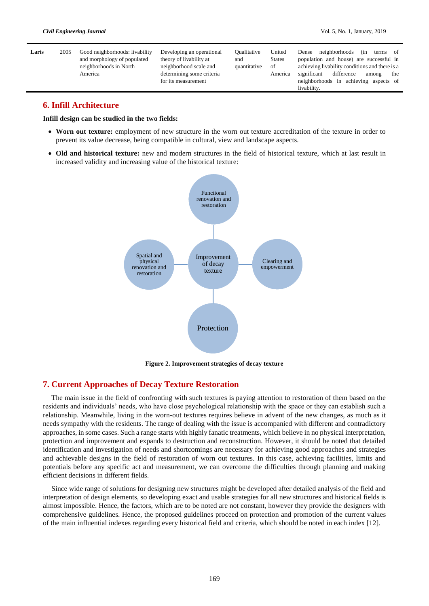| Laris | 2005 | Good neighborhoods: livability | Developing an operational | Oualitative  | United        | terms of<br>Dense neighborhoods<br>(in         |
|-------|------|--------------------------------|---------------------------|--------------|---------------|------------------------------------------------|
|       |      | and morphology of populated    | theory of livability at   | and          | <b>States</b> | population and house) are successful in        |
|       |      | neighborhoods in North         | neighborhood scale and    | quantitative | of            | achieving livability conditions and there is a |
|       |      | America                        | determining some criteria |              | America       | significant<br>difference<br>the<br>among      |
|       |      |                                | for its measurement       |              |               | neighborhoods in achieving aspects of          |
|       |      |                                |                           |              |               | livability.                                    |

# **6. Infill Architecture**

**Infill design can be studied in the two fields:**

- **Worn out texture:** employment of new structure in the worn out texture accreditation of the texture in order to prevent its value decrease, being compatible in cultural, view and landscape aspects.
- **Old and historical texture:** new and modern structures in the field of historical texture, which at last result in increased validity and increasing value of the historical texture:



**Figure 2. Improvement strategies of decay texture**

# **7. Current Approaches of Decay Texture Restoration**

The main issue in the field of confronting with such textures is paying attention to restoration of them based on the residents and individuals' needs, who have close psychological relationship with the space or they can establish such a relationship. Meanwhile, living in the worn-out textures requires believe in advent of the new changes, as much as it needs sympathy with the residents. The range of dealing with the issue is accompanied with different and contradictory approaches, in some cases. Such a range starts with highly fanatic treatments, which believe in no physical interpretation, protection and improvement and expands to destruction and reconstruction. However, it should be noted that detailed identification and investigation of needs and shortcomings are necessary for achieving good approaches and strategies and achievable designs in the field of restoration of worn out textures. In this case, achieving facilities, limits and potentials before any specific act and measurement, we can overcome the difficulties through planning and making efficient decisions in different fields.

Since wide range of solutions for designing new structures might be developed after detailed analysis of the field and interpretation of design elements, so developing exact and usable strategies for all new structures and historical fields is almost impossible. Hence, the factors, which are to be noted are not constant, however they provide the designers with comprehensive guidelines. Hence, the proposed guidelines proceed on protection and promotion of the current values of the main influential indexes regarding every historical field and criteria, which should be noted in each index [12].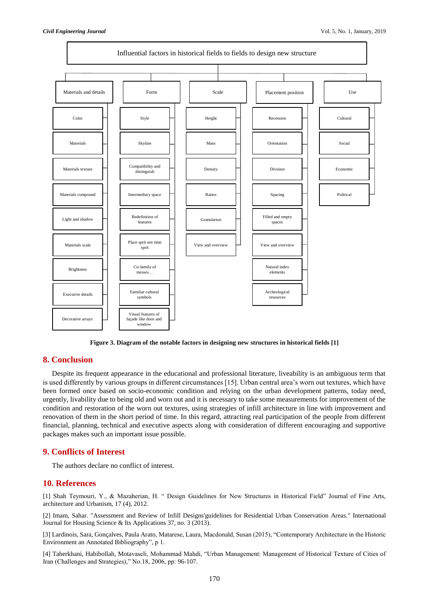

**Figure 3. Diagram of the notable factors in designing new structures in historical fields [1]**

# **8. Conclusion**

Despite its frequent appearance in the educational and professional literature, liveability is an ambiguous term that is used differently by various groups in different circumstances [15]. Urban central area's worn out textures, which have been formed once based on socio-economic condition and relying on the urban development patterns, today need, urgently, livability due to being old and worn out and it is necessary to take some measurements for improvement of the condition and restoration of the worn out textures, using strategies of infill architecture in line with improvement and renovation of them in the short period of time. In this regard, attracting real participation of the people from different financial, planning, technical and executive aspects along with consideration of different encouraging and supportive packages makes such an important issue possible.

## **9. Conflicts of Interest**

The authors declare no conflict of interest.

## **10. References**

[1] Shah Teymouri, Y., & Mazaherian, H. " Design Guidelines for New Structures in Historical Field" Journal of Fine Arts, architecture and Urbanism, 17 (4), 2012.

[2] Imam, Sahar. "Assessment and Review of Infill Designs'guidelines for Residential Urban Conservation Areas." International Journal for Housing Science & Its Applications 37, no. 3 (2013).

[3] Lardinois, Sara, Gonçalves, Paula Arato, Matarese, Laura, Macdonald, Susan (2015), "Contemporary Architecture in the Historic Environment an Annotated Bibliography", p 1.

[4] Taherkhani, Habibollah, Motavaseli, Mohammad Mahdi, "Urban Management: Management of Historical Texture of Cities of Iran (Challenges and Strategies)," No.18, 2006, pp: 96-107.